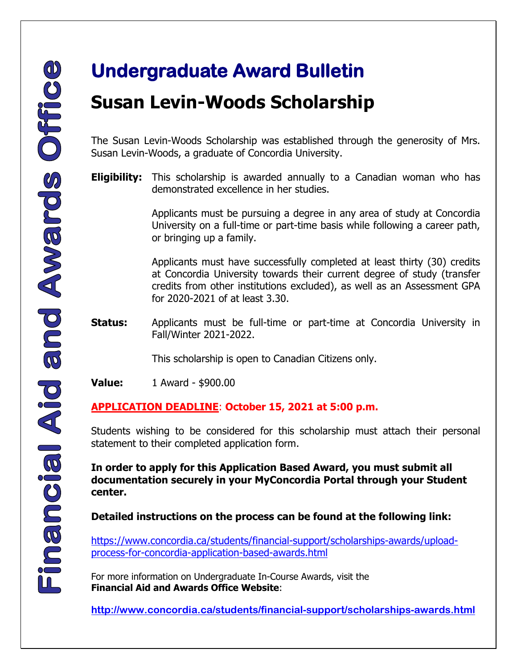## **Susan Levin-Woods Scholarship**

The Susan Levin-Woods Scholarship was established through the generosity of Mrs. Susan Levin-Woods, a graduate of Concordia University.

**Eligibility:** This scholarship is awarded annually to a Canadian woman who has demonstrated excellence in her studies.

> Applicants must be pursuing a degree in any area of study at Concordia University on a full-time or part-time basis while following a career path, or bringing up a family.

> Applicants must have successfully completed at least thirty (30) credits at Concordia University towards their current degree of study (transfer credits from other institutions excluded), as well as an Assessment GPA for 2020-2021 of at least 3.30.

**Status:** Applicants must be full-time or part-time at Concordia University in Fall/Winter 2021-2022.

This scholarship is open to Canadian Citizens only.

**Value:** 1 Award - \$900.00

#### **APPLICATION DEADLINE**: **October 15, 2021 at 5:00 p.m.**

Students wishing to be considered for this scholarship must attach their personal statement to their completed application form.

**In order to apply for this Application Based Award, you must submit all documentation securely in your MyConcordia Portal through your Student center.** 

#### **Detailed instructions on the process can be found at the following link:**

[https://www.concordia.ca/students/financial-support/scholarships-awards/upload](https://www.concordia.ca/students/financial-support/scholarships-awards/upload-process-for-concordia-application-based-awards.html)[process-for-concordia-application-based-awards.html](https://www.concordia.ca/students/financial-support/scholarships-awards/upload-process-for-concordia-application-based-awards.html)

For more information on Undergraduate In-Course Awards, visit the **Financial Aid and Awards Office Website**:

 **<http://www.concordia.ca/students/financial-support/scholarships-awards.html>**